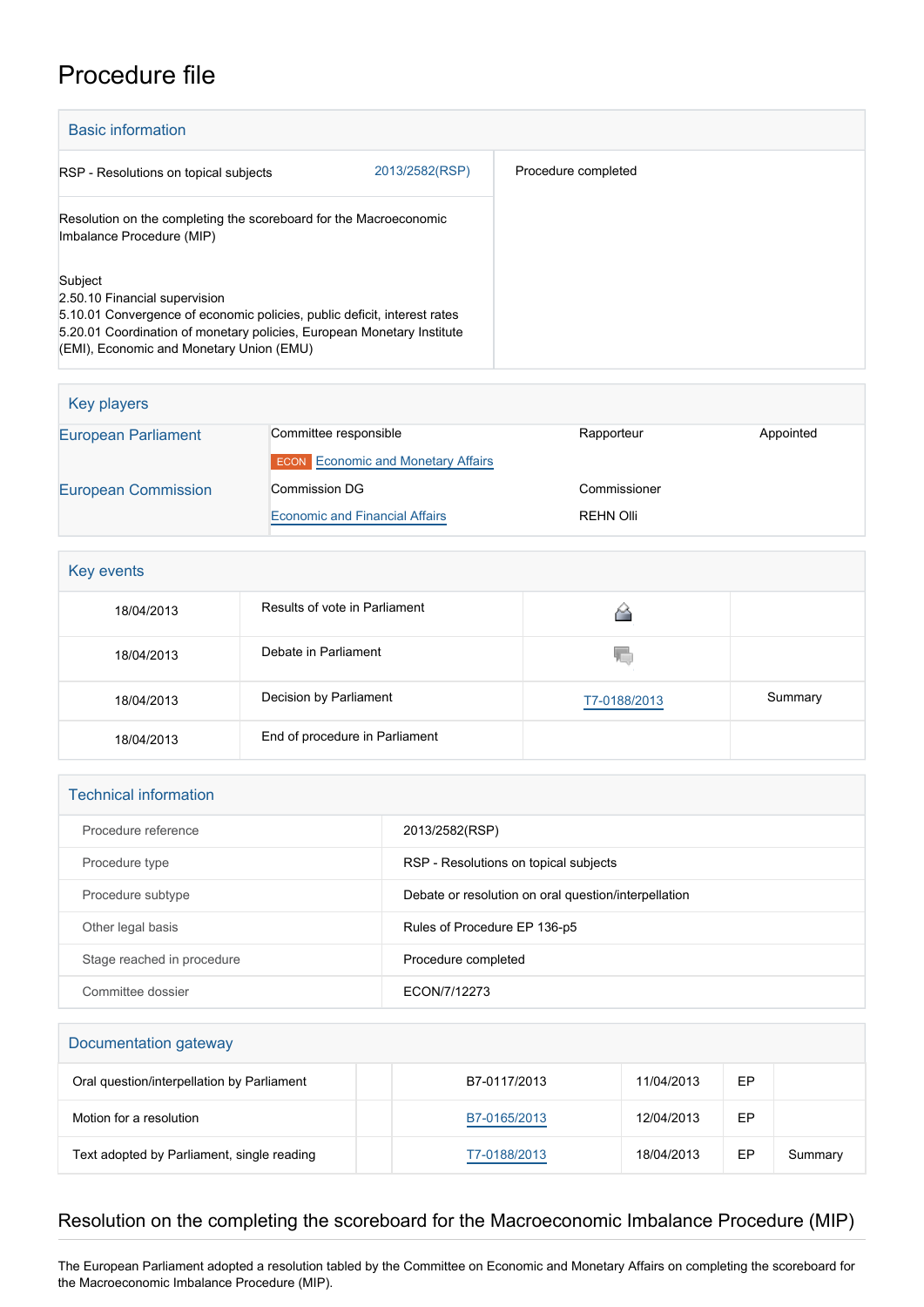## Procedure file

| <b>Basic information</b>                                                                                                                                                                                                                   |                |                     |  |
|--------------------------------------------------------------------------------------------------------------------------------------------------------------------------------------------------------------------------------------------|----------------|---------------------|--|
| RSP - Resolutions on topical subjects                                                                                                                                                                                                      | 2013/2582(RSP) | Procedure completed |  |
| Resolution on the completing the scoreboard for the Macroeconomic<br>Imbalance Procedure (MIP)                                                                                                                                             |                |                     |  |
| Subject<br>2.50.10 Financial supervision<br>5.10.01 Convergence of economic policies, public deficit, interest rates<br>5.20.01 Coordination of monetary policies, European Monetary Institute<br>(EMI), Economic and Monetary Union (EMU) |                |                     |  |

| Key players                |                                           |              |           |
|----------------------------|-------------------------------------------|--------------|-----------|
| <b>European Parliament</b> | Committee responsible                     | Rapporteur   | Appointed |
|                            | <b>ECON</b> Economic and Monetary Affairs |              |           |
| <b>European Commission</b> | <b>Commission DG</b>                      | Commissioner |           |
|                            | <b>Economic and Financial Affairs</b>     | REHN Olli    |           |

| Key events |                                |              |         |  |
|------------|--------------------------------|--------------|---------|--|
| 18/04/2013 | Results of vote in Parliament  |              |         |  |
| 18/04/2013 | Debate in Parliament           | W.           |         |  |
| 18/04/2013 | Decision by Parliament         | T7-0188/2013 | Summary |  |
| 18/04/2013 | End of procedure in Parliament |              |         |  |

| <b>Technical information</b> |                                                      |  |  |
|------------------------------|------------------------------------------------------|--|--|
| Procedure reference          | 2013/2582(RSP)                                       |  |  |
| Procedure type               | RSP - Resolutions on topical subjects                |  |  |
| Procedure subtype            | Debate or resolution on oral question/interpellation |  |  |
| Other legal basis            | Rules of Procedure EP 136-p5                         |  |  |
| Stage reached in procedure   | Procedure completed                                  |  |  |
| Committee dossier            | ECON/7/12273                                         |  |  |

| Documentation gateway                      |              |            |    |         |
|--------------------------------------------|--------------|------------|----|---------|
| Oral question/interpellation by Parliament | B7-0117/2013 | 11/04/2013 | EP |         |
| Motion for a resolution                    | B7-0165/2013 | 12/04/2013 | EP |         |
| Text adopted by Parliament, single reading | T7-0188/2013 | 18/04/2013 | EP | Summary |

## Resolution on the completing the scoreboard for the Macroeconomic Imbalance Procedure (MIP)

The European Parliament adopted a resolution tabled by the Committee on Economic and Monetary Affairs on completing the scoreboard for the Macroeconomic Imbalance Procedure (MIP).